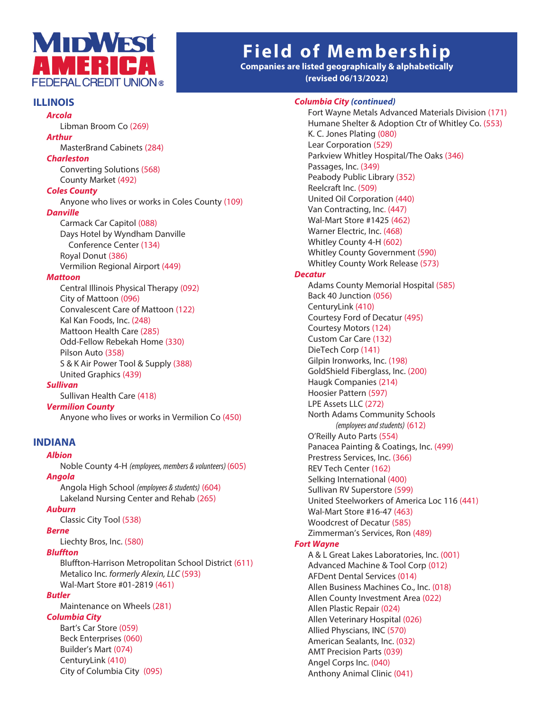

# **Field of Membership**

**Companies are listed geographically & alphabetically (revised 06/13/2022)**

# **ILLINOIS**

Libman Broom Co (269)

#### *Arthur*

*Arcola*

MasterBrand Cabinets (284)

# *Charleston*

 Converting Solutions (568) County Market (492)

#### *Coles County*

Anyone who lives or works in Coles County (109)

# *Danville*

 Carmack Car Capitol (088) Days Hotel by Wyndham Danville Conference Center (134) Royal Donut (386) Vermilion Regional Airport (449)

#### *Mattoon*

 Central Illinois Physical Therapy (092) City of Mattoon (096) Convalescent Care of Mattoon (122) Kal Kan Foods, Inc. (248) Mattoon Health Care (285) Odd-Fellow Rebekah Home (330) Pilson Auto (358) S & K Air Power Tool & Supply (388) United Graphics (439)

#### *Sullivan*

Sullivan Health Care (418)

#### *Vermilion County*

Anyone who lives or works in Vermilion Co (450)

## **INDIANA**

#### *Albion*

 Noble County 4-H *(employees, members & volunteers)* (605) *Angola*

 Angola High School *(employees & students)* (604) Lakeland Nursing Center and Rehab (265)

# *Auburn*

Classic City Tool (538)

*Berne* Liechty Bros, Inc. (580)

# *Bluffton*

 Bluffton-Harrison Metropolitan School District (611) Metalico Inc*. formerly Alexin, LLC* (593) Wal-Mart Store #01-2819 (461)

#### *Butler*

 Maintenance on Wheels (281) *Columbia City* Bart's Car Store (059) Beck Enterprises (060) Builder's Mart (074) CenturyLink (410)

City of Columbia City (095)

#### *Columbia City (continued)*

 Fort Wayne Metals Advanced Materials Division (171) Humane Shelter & Adoption Ctr of Whitley Co. (553) K. C. Jones Plating (080) Lear Corporation (529) Parkview Whitley Hospital/The Oaks (346) Passages, Inc. (349) Peabody Public Library (352) Reelcraft Inc. (509) United Oil Corporation (440) Van Contracting, Inc. (447) Wal-Mart Store #1425 (462) Warner Electric, Inc. (468) Whitley County 4-H (602) Whitley County Government (590) Whitley County Work Release (573) *Decatur* Adams County Memorial Hospital (585) Back 40 Junction (056) CenturyLink (410) Courtesy Ford of Decatur (495) Courtesy Motors (124) Custom Car Care (132) DieTech Corp (141) Gilpin Ironworks, Inc. (198) GoldShield Fiberglass, Inc. (200) Haugk Companies (214) Hoosier Pattern (597) LPE Assets LLC (272) North Adams Community Schools *(employees and students)* (612) O'Reilly Auto Parts (554) Panacea Painting & Coatings, Inc. (499) Prestress Services, Inc. (366) REV Tech Center (162) Selking International (400) Sullivan RV Superstore (599) United Steelworkers of America Loc 116 (441) Wal-Mart Store #16-47 (463) Woodcrest of Decatur (585) Zimmerman's Services, Ron (489) A & L Great Lakes Laboratories, Inc. (001)

#### *Fort Wayne*

 Advanced Machine & Tool Corp (012) AFDent Dental Services (014) Allen Business Machines Co., Inc. (018) Allen County Investment Area (022) Allen Plastic Repair (024) Allen Veterinary Hospital (026) Allied Physcians, INC (570) American Sealants, Inc. (032) AMT Precision Parts (039) Angel Corps Inc. (040) Anthony Animal Clinic (041)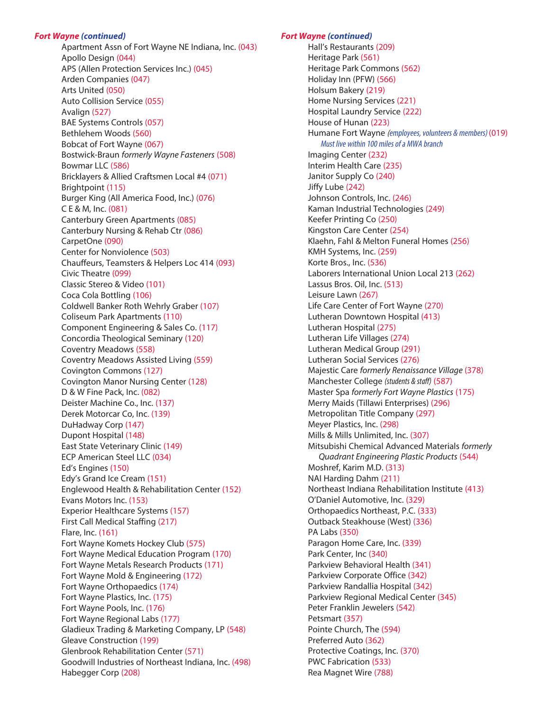#### *Fort Wayne (continued)*

 Apartment Assn of Fort Wayne NE Indiana, Inc. (043) Apollo Design (044) APS (Allen Protection Services Inc.) (045) Arden Companies (047) Arts United (050) Auto Collision Service (055) Avalign (527) BAE Systems Controls (057) Bethlehem Woods (560) Bobcat of Fort Wayne (067) Bostwick-Braun *formerly Wayne Fasteners* (508) Bowmar LLC (586) Bricklayers & Allied Craftsmen Local #4 (071) Brightpoint (115) Burger King (All America Food, Inc.) (076) C E & M, Inc. (081) Canterbury Green Apartments (085) Canterbury Nursing & Rehab Ctr (086) CarpetOne (090) **Center for Nonviolence (503)** Chauffeurs, Teamsters & Helpers Loc 414 (093) Civic Theatre (099) Classic Stereo & Video (101) Coca Cola Bottling (106) Coldwell Banker Roth Wehrly Graber (107) Coliseum Park Apartments (110) Component Engineering & Sales Co. (117) Concordia Theological Seminary (120) Coventry Meadows (558) Coventry Meadows Assisted Living (559) Covington Commons (127) Covington Manor Nursing Center (128) D & W Fine Pack, Inc. (082) Deister Machine Co., Inc. (137) Derek Motorcar Co, Inc. (139) DuHadway Corp (147) Dupont Hospital (148) East State Veterinary Clinic (149) ECP American Steel LLC (034) Ed's Engines (150) Edy's Grand Ice Cream (151) Englewood Health & Rehabilitation Center (152) Evans Motors Inc. (153) Experior Healthcare Systems (157) First Call Medical Staffing (217) Flare, Inc. (161) Fort Wayne Komets Hockey Club (575) Fort Wayne Medical Education Program (170) Fort Wayne Metals Research Products (171) Fort Wayne Mold & Engineering (172) Fort Wayne Orthopaedics (174) Fort Wayne Plastics, Inc. (175) Fort Wayne Pools, Inc. (176) Fort Wayne Regional Labs (177) Gladieux Trading & Marketing Company, LP (548) Gleave Construction (199) Glenbrook Rehabilitation Center (571) Goodwill Industries of Northeast Indiana, Inc. (498) Habegger Corp (208)

#### *Fort Wayne (continued)*

 Hall's Restaurants (209) Heritage Park (561) Heritage Park Commons (562) Holiday Inn (PFW) (566) Holsum Bakery (219) Home Nursing Services (221) Hospital Laundry Service (222) House of Hunan (223) Humane Fort Wayne (employees, volunteers & members) (019) Must live within 100 miles of a MWA branch Imaging Center (232) Interim Health Care (235) Janitor Supply Co (240) Jiffy Lube (242) Johnson Controls, Inc. (246) Kaman Industrial Technologies (249) Keefer Printing Co (250) Kingston Care Center (254) Klaehn, Fahl & Melton Funeral Homes (256) KMH Systems, Inc. (259) Korte Bros., Inc. (536) Laborers International Union Local 213 (262) Lassus Bros. Oil, Inc. (513) Leisure Lawn (267) Life Care Center of Fort Wayne (270) Lutheran Downtown Hospital (413) Lutheran Hospital (275) Lutheran Life Villages (274) Lutheran Medical Group (291) Lutheran Social Services (276) Majestic Care *formerly Renaissance Village* (378) Manchester College *(students & staff)* (587) Master Spa *formerly Fort Wayne Plastics* (175) Merry Maids (Tillawi Enterprises) (296) Metropolitan Title Company (297) Meyer Plastics, Inc. (298) Mills & Mills Unlimited, Inc. (307) Mitsubishi Chemical Advanced Materials *formerly Quadrant Engineering Plastic Products* (544) Moshref, Karim M.D. (313) NAI Harding Dahm (211) Northeast Indiana Rehabilitation Institute (413) O'Daniel Automotive, Inc. (329) Orthopaedics Northeast, P.C. (333) Outback Steakhouse (West) (336) PA Labs (350) Paragon Home Care, Inc. (339) Park Center, Inc (340) Parkview Behavioral Health (341) Parkview Corporate Office (342) Parkview Randallia Hospital (342) Parkview Regional Medical Center (345) Peter Franklin Jewelers (542) Petsmart (357) Pointe Church, The (594) Preferred Auto (362) Protective Coatings, Inc. (370) PWC Fabrication (533) Rea Magnet Wire (788)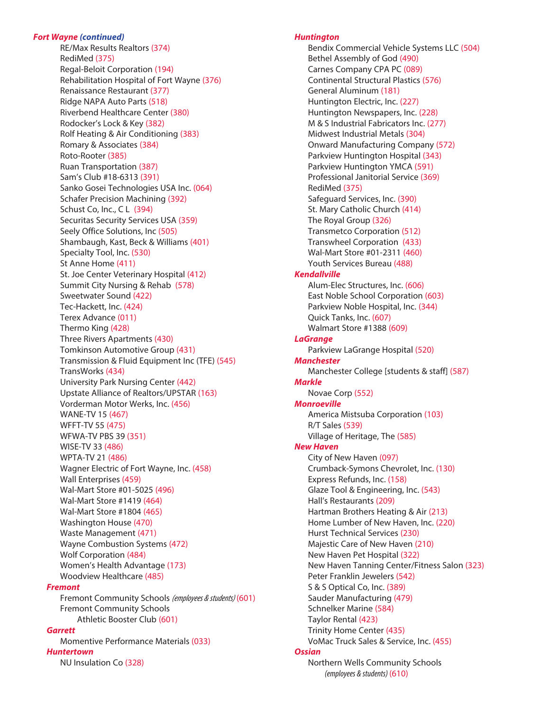#### *Fort Wayne (continued)*

 RE/Max Results Realtors (374) RediMed (375) Regal-Beloit Corporation (194) Rehabilitation Hospital of Fort Wayne (376) Renaissance Restaurant (377) Ridge NAPA Auto Parts (518) Riverbend Healthcare Center (380) Rodocker's Lock & Key (382) Rolf Heating & Air Conditioning (383) **Romary & Associates (384)**  Roto-Rooter (385) Ruan Transportation (387) Sam's Club #18-6313 (391) Sanko Gosei Technologies USA Inc. (064) Schafer Precision Machining (392) Schust Co, Inc., C L (394) Securitas Security Services USA (359) Seely Office Solutions, Inc (505) Shambaugh, Kast, Beck & Williams (401) Specialty Tool, Inc. (530) St Anne Home (411) St. Joe Center Veterinary Hospital (412) Summit City Nursing & Rehab (578) Sweetwater Sound (422) Tec-Hackett, Inc. (424) Terex Advance (011) Thermo King (428) Three Rivers Apartments (430) Tomkinson Automotive Group (431) Transmission & Fluid Equipment Inc (TFE) (545) TransWorks (434) University Park Nursing Center (442) Upstate Alliance of Realtors/UPSTAR (163) Vorderman Motor Werks, Inc. (456) WANE-TV 15 (467) WFFT-TV 55 (475) WFWA-TV PBS 39 (351) WISE-TV 33 (486) WPTA-TV 21 (486) Wagner Electric of Fort Wayne, Inc. (458) Wall Enterprises (459) Wal-Mart Store #01-5025 (496) Wal-Mart Store #1419 (464) Wal-Mart Store #1804 (465) Washington House (470) Waste Management (471) **Wayne Combustion Systems (472) Wolf Corporation (484)**  Women's Health Advantage (173) Woodview Healthcare (485) *Fremont* Fremont Community Schools *(employees & students)* (601) Fremont Community Schools Athletic Booster Club (601) *Garrett* Momentive Performance Materials (033)

#### *Huntertown*

NU Insulation Co (328)

#### *Huntington*

 Bendix Commercial Vehicle Systems LLC (504) Bethel Assembly of God (490) Carnes Company CPA PC (089) Continental Structural Plastics (576) General Aluminum (181) Huntington Electric, Inc. (227) Huntington Newspapers, Inc. (228) M & S Industrial Fabricators Inc. (277) Midwest Industrial Metals (304) Onward Manufacturing Company (572) Parkview Huntington Hospital (343) Parkview Huntington YMCA (591) Professional Janitorial Service (369) RediMed (375) Safeguard Services, Inc. (390) St. Mary Catholic Church (414) The Royal Group (326) Transmetco Corporation (512) Transwheel Corporation (433) Wal-Mart Store #01-2311 (460) Youth Services Bureau (488) *Kendallville* Alum-Elec Structures, Inc. (606) East Noble School Corporation (603) Parkview Noble Hospital, Inc. (344) Quick Tanks, Inc. (607) Walmart Store #1388 (609) *LaGrange* Parkview LaGrange Hospital (520) *Manchester* Manchester College [students & staff] (587) *Markle* Novae Corp (552) *Monroeville* America Mistsuba Corporation (103) R/T Sales (539) Village of Heritage, The (585) *New Haven*  City of New Haven (097) Crumback-Symons Chevrolet, Inc. (130) **Express Refunds, Inc. (158)**  Glaze Tool & Engineering, Inc. (543) Hall's Restaurants (209) Hartman Brothers Heating & Air (213) Home Lumber of New Haven, Inc. (220) **Hurst Technical Services (230)**  Majestic Care of New Haven (210) New Haven Pet Hospital (322) New Haven Tanning Center/Fitness Salon (323) Peter Franklin Jewelers (542) S & S Optical Co, Inc. (389) Sauder Manufacturing (479) Schnelker Marine (584) Taylor Rental (423) Trinity Home Center (435) VoMac Truck Sales & Service, Inc. (455) *Ossian* Northern Wells Community Schools *(employees & students)* (610)